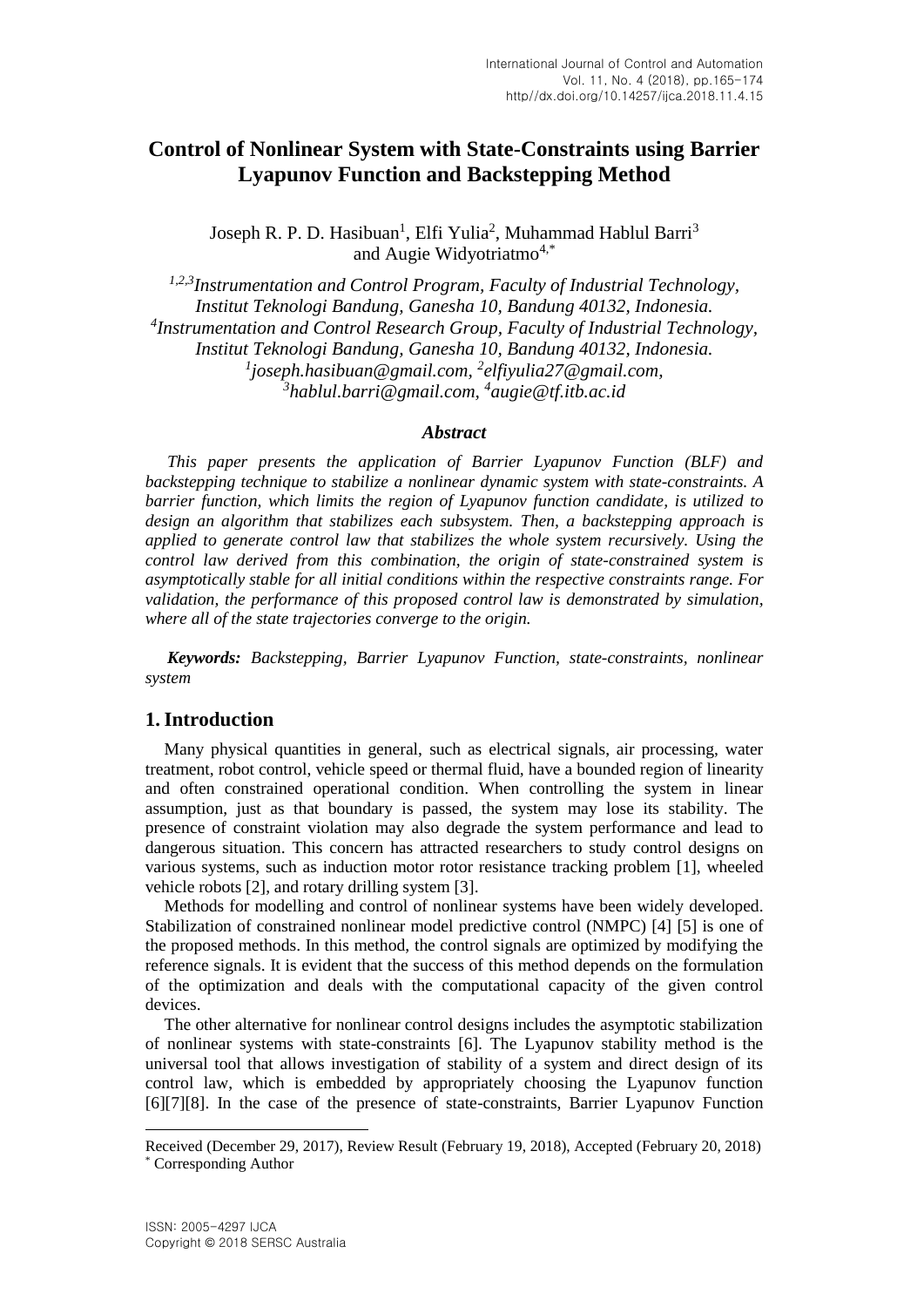# **Control of Nonlinear System with State-Constraints using Barrier Lyapunov Function and Backstepping Method**

Joseph R. P. D. Hasibuan<sup>1</sup>, Elfi Yulia<sup>2</sup>, Muhammad Hablul Barri<sup>3</sup> and Augie Widvotriatmo<sup>4,\*</sup>

*1,2,3Instrumentation and Control Program, Faculty of Industrial Technology, Institut Teknologi Bandung, Ganesha 10, Bandung 40132, Indonesia. 4 Instrumentation and Control Research Group, Faculty of Industrial Technology, Institut Teknologi Bandung, Ganesha 10, Bandung 40132, Indonesia. 1 joseph.hasibuan@gmail.com, <sup>2</sup> elfiyulia27@gmail.com, 3 hablul.barri@gmail.com, <sup>4</sup> [augie@tf.itb.ac.id](mailto:augie@tf.itb.ac.id)*

## *Abstract*

*This paper presents the application of Barrier Lyapunov Function (BLF) and backstepping technique to stabilize a nonlinear dynamic system with state-constraints. A barrier function, which limits the region of Lyapunov function candidate, is utilized to design an algorithm that stabilizes each subsystem. Then, a backstepping approach is applied to generate control law that stabilizes the whole system recursively. Using the control law derived from this combination, the origin of state-constrained system is asymptotically stable for all initial conditions within the respective constraints range. For validation, the performance of this proposed control law is demonstrated by simulation, where all of the state trajectories converge to the origin.*

*Keywords: Backstepping, Barrier Lyapunov Function, state-constraints, nonlinear system*

## **1.Introduction**

Many physical quantities in general, such as electrical signals, air processing, water treatment, robot control, vehicle speed or thermal fluid, have a bounded region of linearity and often constrained operational condition. When controlling the system in linear assumption, just as that boundary is passed, the system may lose its stability. The presence of constraint violation may also degrade the system performance and lead to dangerous situation. This concern has attracted researchers to study control designs on various systems, such as induction motor rotor resistance tracking problem [1], wheeled vehicle robots [2], and rotary drilling system [3].

Methods for modelling and control of nonlinear systems have been widely developed. Stabilization of constrained nonlinear model predictive control (NMPC) [4] [5] is one of the proposed methods. In this method, the control signals are optimized by modifying the reference signals. It is evident that the success of this method depends on the formulation of the optimization and deals with the computational capacity of the given control devices.

The other alternative for nonlinear control designs includes the asymptotic stabilization of nonlinear systems with state-constraints [6]. The Lyapunov stability method is the universal tool that allows investigation of stability of a system and direct design of its control law, which is embedded by appropriately choosing the Lyapunov function [6][7][8]. In the case of the presence of state-constraints, Barrier Lyapunov Function

l

Received (December 29, 2017), Review Result (February 19, 2018), Accepted (February 20, 2018) \* Corresponding Author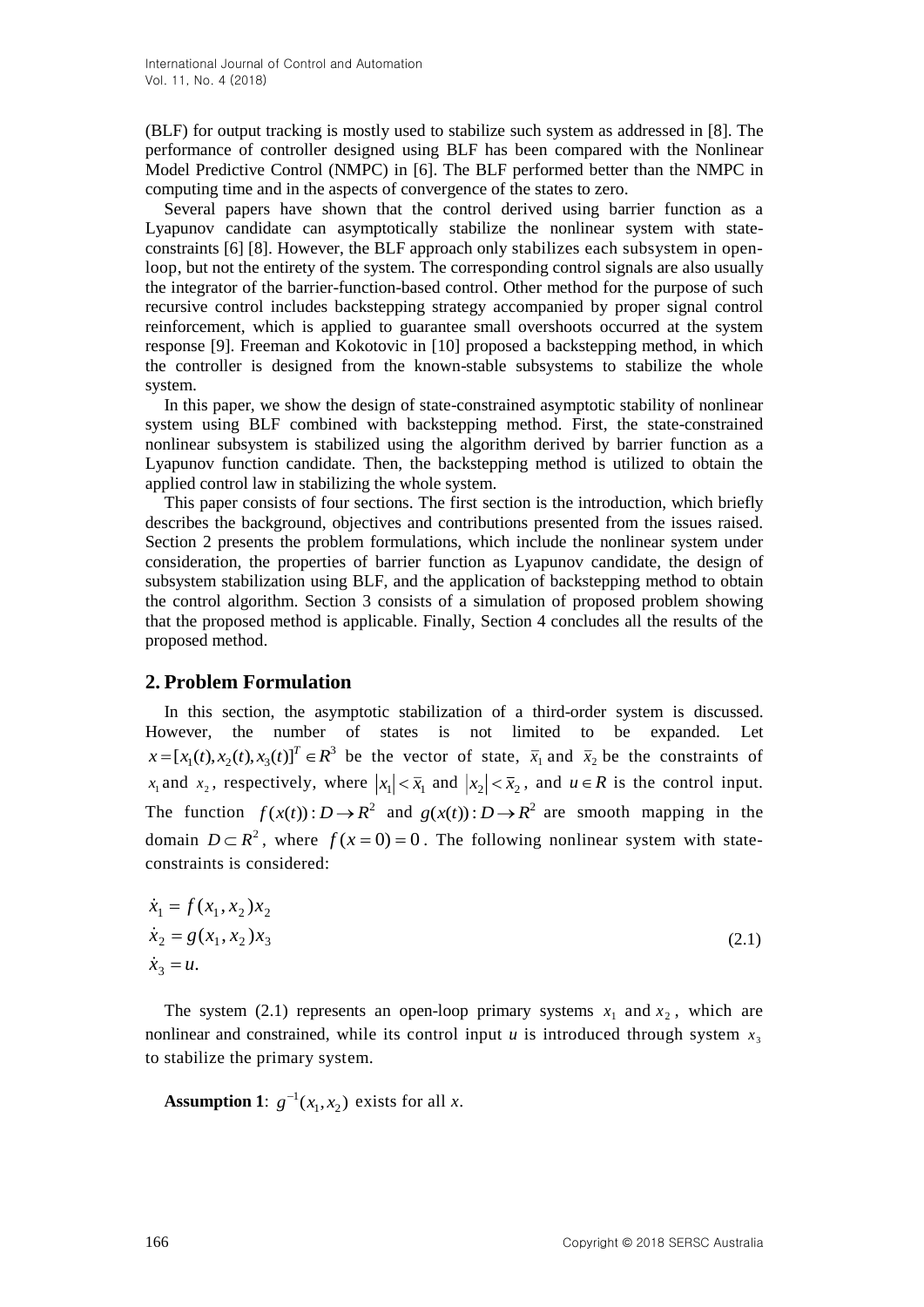(BLF) for output tracking is mostly used to stabilize such system as addressed in [8]. The performance of controller designed using BLF has been compared with the Nonlinear Model Predictive Control (NMPC) in [6]. The BLF performed better than the NMPC in computing time and in the aspects of convergence of the states to zero.

Several papers have shown that the control derived using barrier function as a Lyapunov candidate can asymptotically stabilize the nonlinear system with stateconstraints [6] [8]. However, the BLF approach only stabilizes each subsystem in openloop, but not the entirety of the system. The corresponding control signals are also usually the integrator of the barrier-function-based control. Other method for the purpose of such recursive control includes backstepping strategy accompanied by proper signal control reinforcement, which is applied to guarantee small overshoots occurred at the system response [9]. Freeman and Kokotovic in [10] proposed a backstepping method, in which the controller is designed from the known-stable subsystems to stabilize the whole system.

In this paper, we show the design of state-constrained asymptotic stability of nonlinear system using BLF combined with backstepping method. First, the state-constrained nonlinear subsystem is stabilized using the algorithm derived by barrier function as a Lyapunov function candidate. Then, the backstepping method is utilized to obtain the applied control law in stabilizing the whole system.

This paper consists of four sections. The first section is the introduction, which briefly describes the background, objectives and contributions presented from the issues raised. Section 2 presents the problem formulations, which include the nonlinear system under consideration, the properties of barrier function as Lyapunov candidate, the design of subsystem stabilization using BLF, and the application of backstepping method to obtain the control algorithm. Section 3 consists of a simulation of proposed problem showing that the proposed method is applicable. Finally, Section 4 concludes all the results of the proposed method.

## **2. Problem Formulation**

In this section, the asymptotic stabilization of a third-order system is discussed. However, the number of states is not limited to be expanded. Let  $x = [x_1(t), x_2(t), x_3(t)]^T \in \mathbb{R}^3$  be the vector of state,  $\bar{x}_1$  and  $\bar{x}_2$  be the constraints of  $x_1$  and  $x_2$ , respectively, where  $|x_1| < \bar{x}_1$  and  $|x_2| < \bar{x}_2$ , and  $u \in \mathbb{R}$  is the control input. The function  $f(x(t))$ :  $D \to R^2$  and  $g(x(t))$ :  $D \to R^2$  are smooth mapping in the domain  $D \subset R^2$ , where  $f(x=0) = 0$ . The following nonlinear system with stateconstraints is considered:

$$
\dot{x}_1 = f(x_1, x_2)x_2
$$
  
\n
$$
\dot{x}_2 = g(x_1, x_2)x_3
$$
  
\n
$$
\dot{x}_3 = u.
$$
\n(2.1)

The system (2.1) represents an open-loop primary systems  $x_1$  and  $x_2$ , which are nonlinear and constrained, while its control input  $u$  is introduced through system  $x_3$ to stabilize the primary system.

**Assumption 1**:  $g^{-1}(x_1, x_2)$  exists for all *x*.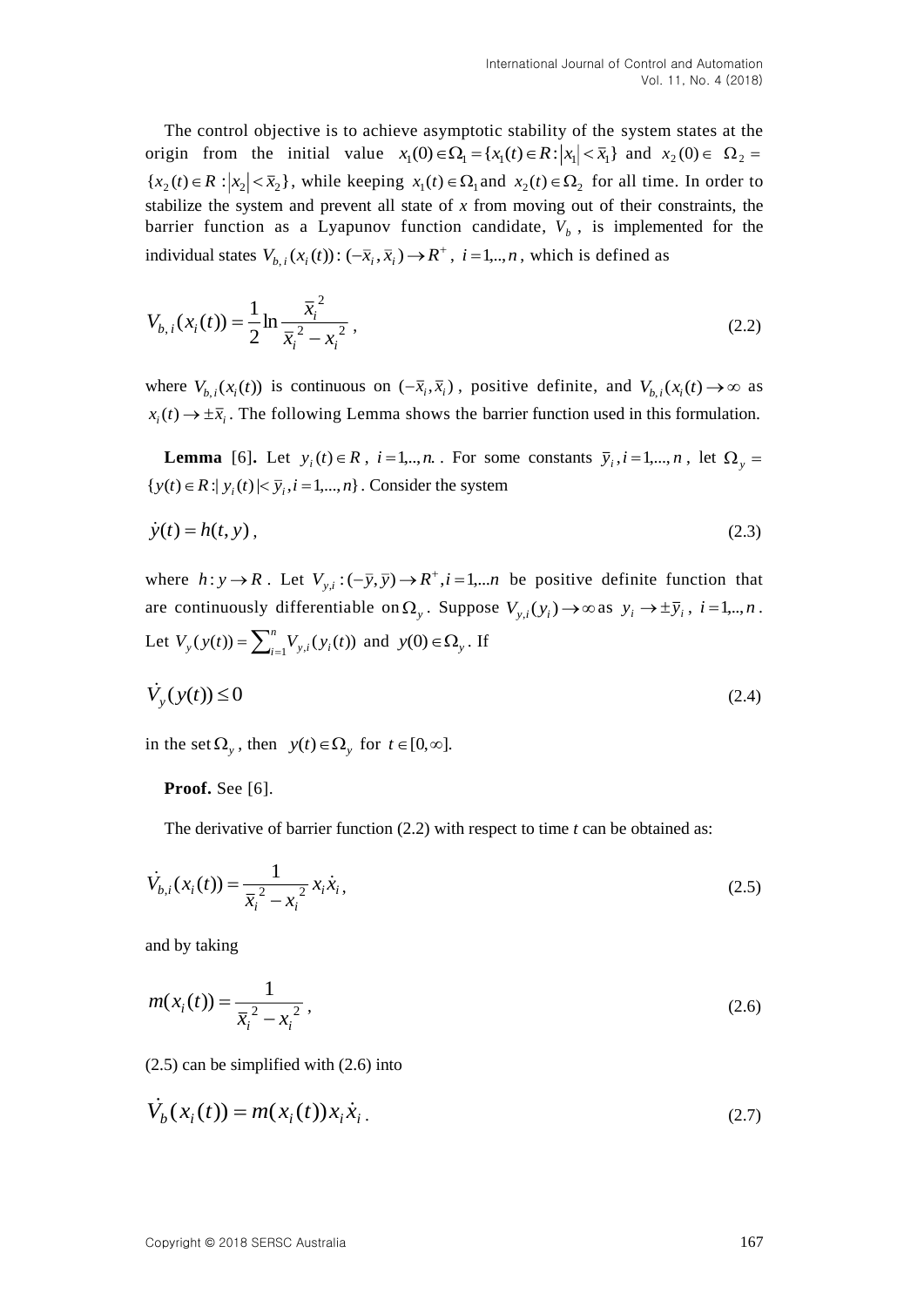The control objective is to achieve asymptotic stability of the system states at the origin from the initial value  $x_1(0) \in \Omega_1 = \{x_1(t) \in R : |x_1| < \overline{x}_1\}$  and  $x_2(0) \in \Omega_2 =$  ${x_2(t) \in R : |x_2| < \bar{x}_2}$ , while keeping  $x_1(t) \in \Omega_1$  and  $x_2(t) \in \Omega_2$  for all time. In order to stabilize the system and prevent all state of *x* from moving out of their constraints, the barrier function as a Lyapunov function candidate,  $V_b$ , is implemented for the individual states  $V_{b,i}(x_i(t))$ :  $(-\bar{x}_i, \bar{x}_i) \rightarrow R^+$ ,  $i = 1, ..., n$ , which is defined as

$$
V_{b,i}(x_i(t)) = \frac{1}{2} \ln \frac{\overline{x}_i^2}{\overline{x}_i^2 - x_i^2},
$$
\n(2.2)

where  $V_{b,i}(x_i(t))$  is continuous on  $(-\bar{x}_i, \bar{x}_i)$ , positive definite, and  $V_{b,i}(x_i(t)) \to \infty$  as  $x_i(t) \to \pm \bar{x}_i$ . The following Lemma shows the barrier function used in this formulation.

**Lemma** [6]. Let  $y_i(t) \in R$ ,  $i = 1, \dots, n$ . For some constants  $\bar{y}_i, i = 1, \dots, n$ , let  $\Omega_y =$  $\{y(t) \in R : |y_i(t)| < \overline{y}_i, i = 1,...,n\}$ . Consider the system

$$
\dot{y}(t) = h(t, y),\tag{2.3}
$$

where  $h: y \to R$ . Let  $V_{y,i}: (-\bar{y}, \bar{y}) \to R^+, i=1,...n$  be positive definite function that are continuously differentiable on  $\Omega_y$ . Suppose  $V_{y,i}(y_i) \to \infty$  as  $y_i \to \pm \bar{y}_i$ ,  $i = 1, ..., n$ . Let  $V_y(y(t)) = \sum_{i=1}^n$ *n*  $V_y(y(t)) = \sum_{i=1}^m V_{y,i}(y_i(t))$  and  $y(0) \in \Omega_y$ . If

$$
\dot{V}_y(y(t)) \le 0 \tag{2.4}
$$

in the set  $\Omega_{y}$ , then  $y(t) \in \Omega_{y}$  for  $t \in [0, \infty]$ .

**Proof.** See [6].

The derivative of barrier function (2.2) with respect to time *t* can be obtained as:

$$
\dot{V}_{b,i}(x_i(t)) = \frac{1}{\bar{x}_i^2 - x_i^2} x_i \dot{x}_i,
$$
\n(2.5)

and by taking

$$
m(x_i(t)) = \frac{1}{\overline{x}_i^2 - x_i^2},
$$
\n(2.6)

(2.5) can be simplified with (2.6) into

$$
V_b(x_i(t)) = m(x_i(t))x_i\dot{x}_i.
$$
\n(2.7)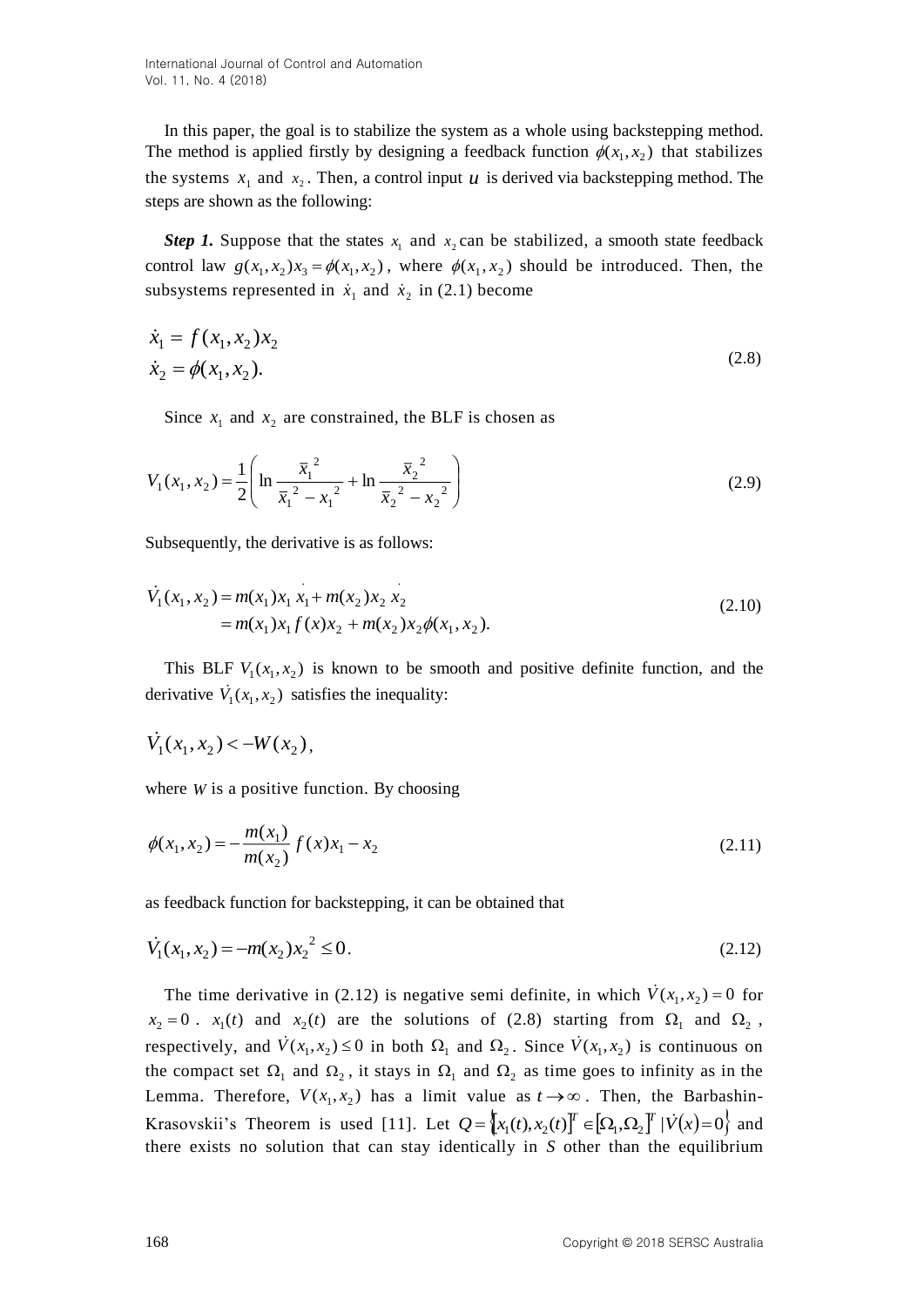International Journal of Control and Automation Vol. 11, No. 4 (2018)

In this paper, the goal is to stabilize the system as a whole using backstepping method. The method is applied firstly by designing a feedback function  $\phi(x_1, x_2)$  that stabilizes the systems  $x_1$  and  $x_2$ . Then, a control input  $u$  is derived via backstepping method. The steps are shown as the following:

*Step 1.* Suppose that the states  $x_1$  and  $x_2$  can be stabilized, a smooth state feedback control law  $g(x_1, x_2)x_3 = \phi(x_1, x_2)$ , where  $\phi(x_1, x_2)$  should be introduced. Then, the subsystems represented in  $\dot{x}_1$  and  $\dot{x}_2$  in (2.1) become

$$
\dot{x}_1 = f(x_1, x_2)x_2
$$
  
\n
$$
\dot{x}_2 = \phi(x_1, x_2).
$$
\n(2.8)

Since  $x_1$  and  $x_2$  are constrained, the BLF is chosen as

$$
V_1(x_1, x_2) = \frac{1}{2} \left( \ln \frac{\overline{x}_1^2}{\overline{x}_1^2 - x_1^2} + \ln \frac{\overline{x}_2^2}{\overline{x}_2^2 - x_2^2} \right)
$$
(2.9)

Subsequently, the derivative is as follows:

$$
\dot{V}_1(x_1, x_2) = m(x_1)x_1 x_1 + m(x_2)x_2 x_2
$$
  
=  $m(x_1)x_1 f(x)x_2 + m(x_2)x_2 \phi(x_1, x_2)$ . (2.10)

This BLF  $V_1(x_1, x_2)$  is known to be smooth and positive definite function, and the derivative  $V_1(x_1, x_2)$  satisfies the inequality:

$$
\dot{V}_1(x_1, x_2) < -W(x_2),
$$

where  $W$  is a positive function. By choosing

$$
\phi(x_1, x_2) = -\frac{m(x_1)}{m(x_2)} f(x) x_1 - x_2
$$
\n(2.11)

as feedback function for backstepping, it can be obtained that

$$
\dot{V}_1(x_1, x_2) = -m(x_2)x_2^2 \le 0.
$$
\n(2.12)

The time derivative in (2.12) is negative semi definite, in which  $V(x_1, x_2) = 0$  for  $x_2 = 0$ .  $x_1(t)$  and  $x_2(t)$  are the solutions of (2.8) starting from  $\Omega_1$  and  $\Omega_2$ , respectively, and  $\dot{V}(x_1, x_2) \le 0$  in both  $\Omega_1$  and  $\Omega_2$ . Since  $\dot{V}(x_1, x_2)$  is continuous on the compact set  $\Omega_1$  and  $\Omega_2$ , it stays in  $\Omega_1$  and  $\Omega_2$  as time goes to infinity as in the Lemma. Therefore,  $V(x_1, x_2)$  has a limit value as  $t \rightarrow \infty$ . Then, the Barbashin-Krasovskii's Theorem is used [11]. Let  $Q = \left[x_1(t), x_2(t)\right]^T \in \left[\Omega_1, \Omega_2\right]^T | V(x) = 0\right\}$  and there exists no solution that can stay identically in *S* other than the equilibrium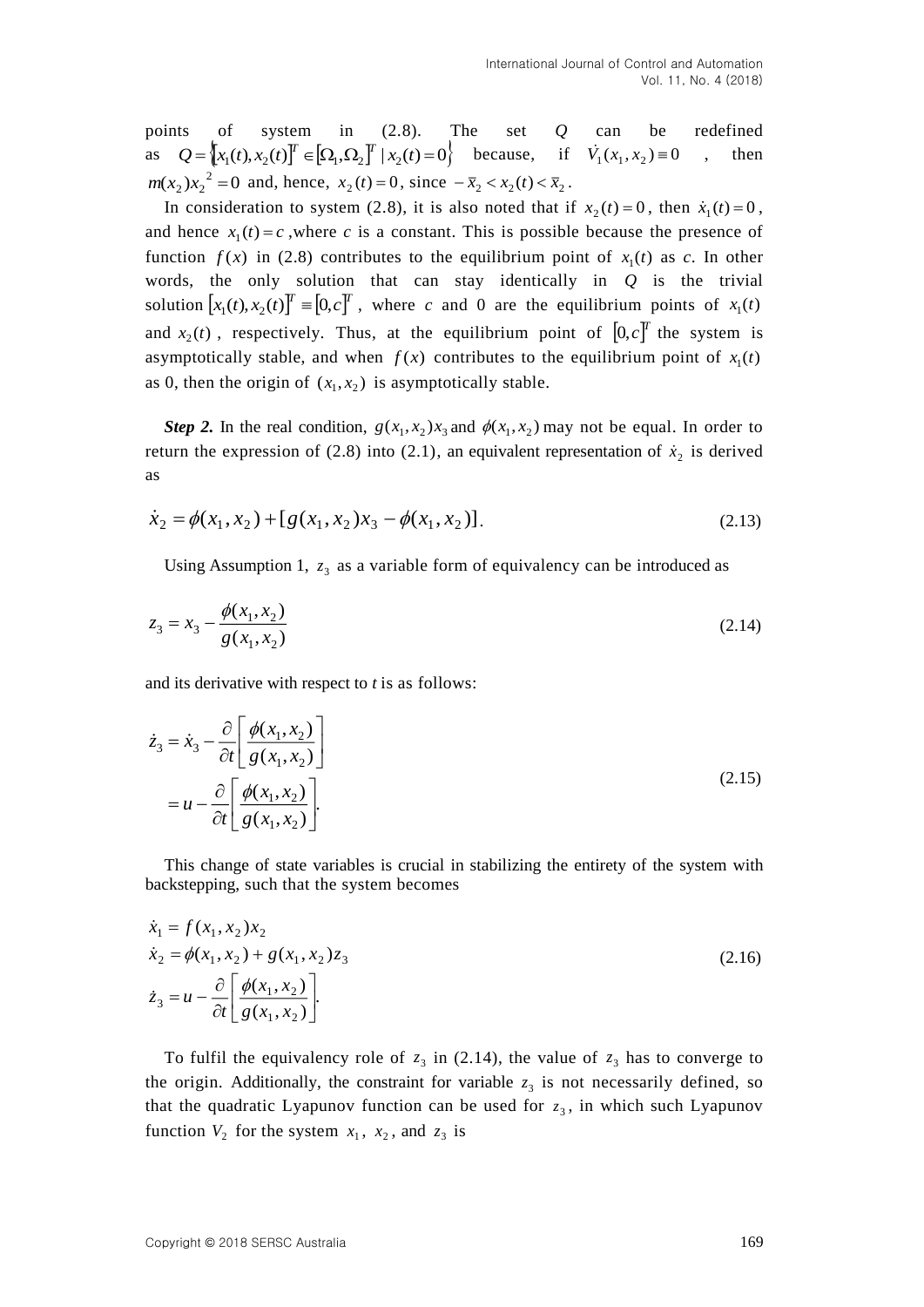points of system in (2.8). The set *Q* can be redefined as  $Q = \left[ x_1(t), x_2(t) \right]^T \in \left[ \Omega_1, \Omega_2 \right]^T \mid x_2(t) = 0$  because, if  $V_1(x_1, x_2) = 0$ , then  $m(x_2)x_2^2 = 0$  and, hence,  $x_2(t) = 0$ , since  $-\bar{x}_2 < x_2(t) < \bar{x}_2$ .

In consideration to system (2.8), it is also noted that if  $x_2(t) = 0$ , then  $\dot{x}_1(t) = 0$ , and hence  $x_1(t) = c$ , where *c* is a constant. This is possible because the presence of function  $f(x)$  in (2.8) contributes to the equilibrium point of  $x_1(t)$  as c. In other words, the only solution that can stay identically in *Q* is the trivial solution  $[x_1(t), x_2(t)]^T = [0, c]^T$ , where *c* and 0 are the equilibrium points of  $x_1(t)$ and  $x_2(t)$ , respectively. Thus, at the equilibrium point of  $[0, c]^T$  the system is asymptotically stable, and when  $f(x)$  contributes to the equilibrium point of  $x_1(t)$ as 0, then the origin of  $(x_1, x_2)$  is asymptotically stable.

*Step 2.* In the real condition,  $g(x_1, x_2)$ ,  $x_3$  and  $\phi(x_1, x_2)$  may not be equal. In order to return the expression of (2.8) into (2.1), an equivalent representation of  $\dot{x}_2$  is derived as

$$
\dot{x}_2 = \phi(x_1, x_2) + [g(x_1, x_2)x_3 - \phi(x_1, x_2)].
$$
\n(2.13)

Using Assumption 1,  $z_3$  as a variable form of equivalency can be introduced as

$$
z_3 = x_3 - \frac{\phi(x_1, x_2)}{g(x_1, x_2)}\tag{2.14}
$$

and its derivative with respect to *t* is as follows:

$$
\dot{z}_3 = \dot{x}_3 - \frac{\partial}{\partial t} \left[ \frac{\phi(x_1, x_2)}{g(x_1, x_2)} \right]
$$
  
=  $u - \frac{\partial}{\partial t} \left[ \frac{\phi(x_1, x_2)}{g(x_1, x_2)} \right].$  (2.15)

This change of state variables is crucial in stabilizing the entirety of the system with backstepping, such that the system becomes

$$
\dot{x}_1 = f(x_1, x_2)x_2 \n\dot{x}_2 = \phi(x_1, x_2) + g(x_1, x_2)z_3 \n\dot{z}_3 = u - \frac{\partial}{\partial t} \left[ \frac{\phi(x_1, x_2)}{g(x_1, x_2)} \right].
$$
\n(2.16)

To fulfil the equivalency role of  $z_3$  in (2.14), the value of  $z_3$  has to converge to the origin. Additionally, the constraint for variable  $z_3$  is not necessarily defined, so that the quadratic Lyapunov function can be used for  $z_3$ , in which such Lyapunov function  $V_2$  for the system  $x_1$ ,  $x_2$ , and  $z_3$  is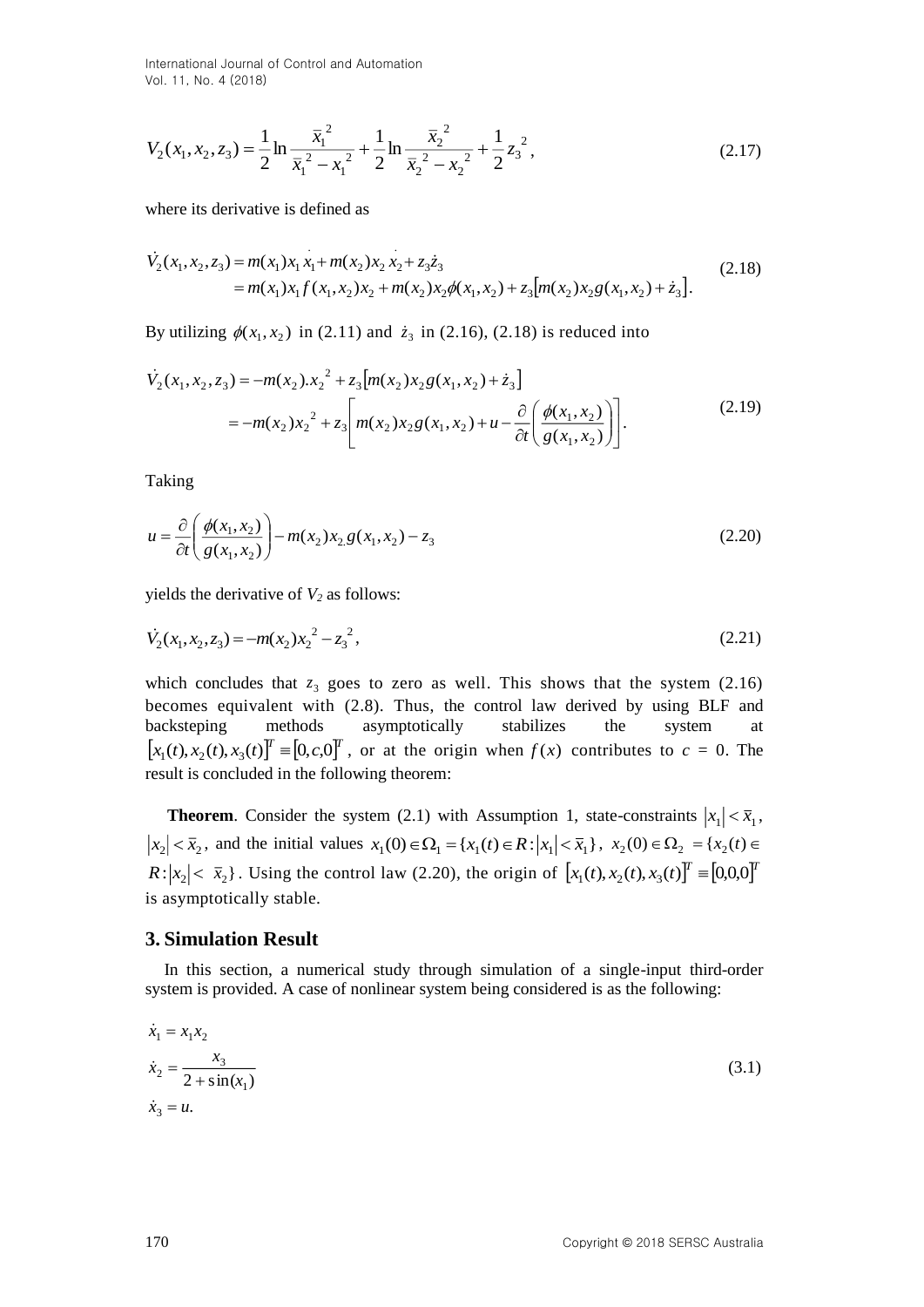International Journal of Control and Automation Vol. 11, No. 4 (2018)

$$
V_2(x_1, x_2, z_3) = \frac{1}{2} \ln \frac{\overline{x}_1^2}{\overline{x}_1^2 - x_1^2} + \frac{1}{2} \ln \frac{\overline{x}_2^2}{\overline{x}_2^2 - x_2^2} + \frac{1}{2} z_3^2,
$$
 (2.17)

where its derivative is defined as

$$
\dot{V}_2(x_1, x_2, z_3) = m(x_1)x_1x_1 + m(x_2)x_2x_2 + z_3\dot{z}_3
$$
\n
$$
= m(x_1)x_1f(x_1, x_2)x_2 + m(x_2)x_2\phi(x_1, x_2) + z_3[m(x_2)x_2g(x_1, x_2) + \dot{z}_3].
$$
\n(2.18)

By utilizing  $\phi(x_1, x_2)$  in (2.11) and  $\dot{z}_3$  in (2.16), (2.18) is reduced into

$$
\dot{V}_2(x_1, x_2, z_3) = -m(x_2) . x_2^2 + z_3 [m(x_2) x_2 g(x_1, x_2) + \dot{z}_3]
$$
  
= 
$$
-m(x_2) x_2^2 + z_3 \Bigg[ m(x_2) x_2 g(x_1, x_2) + u - \frac{\partial}{\partial t} \Bigg( \frac{\phi(x_1, x_2)}{g(x_1, x_2)} \Bigg) \Bigg].
$$
 (2.19)

Taking

$$
u = \frac{\partial}{\partial t} \left( \frac{\phi(x_1, x_2)}{g(x_1, x_2)} \right) - m(x_2) x_2 g(x_1, x_2) - z_3
$$
\n(2.20)

yields the derivative of *V<sup>2</sup>* as follows:

$$
\dot{V}_2(x_1, x_2, z_3) = -m(x_2)x_2^2 - z_3^2,
$$
\n(2.21)

 $V_2(x_1, x_2, x_3) = \frac{1}{2} \ln \frac{x_1 - x_2}{x_1 - x_2} + \frac{1}{2} \ln \frac{x_2 - x_3}{x_2 - x_2} + \frac{1}{2} \sum_{i} x_i^2$  (2.17)<br>
where its derivative is defined as<br>  $V_1(x_1, x_2, x_3) = m(x_1) \lambda_1 x_1 + m(x_1) x_2 \lambda_2 x_3 + x_4$ ;<br>  $P_2(x_1, x_2, x_3) = m(x_1) \lambda_1 x_1 + m(x$ which concludes that  $z_3$  goes to zero as well. This shows that the system  $(2.16)$ becomes equivalent with (2.8). Thus, the control law derived by using BLF and backsteping methods asymptotically stabilizes the system at  $[x_1(t), x_2(t), x_3(t)]^T \equiv [0, c, 0]^T$ , or at the origin when  $f(x)$  contributes to  $c = 0$ . The result is concluded in the following theorem:

**Theorem**. Consider the system (2.1) with Assumption 1, state-constraints  $|x_1| < \bar{x}_1$ ,  $x_2$  |  $\lt \bar{x}_2$ , and the initial values  $x_1(0) \in \Omega_1 = \{x_1(t) \in R : |x_1| \lt \bar{x}_1\}$ ,  $x_2(0) \in \Omega_2 = \{x_2(t) \in R\}$  $R: |x_2| < \bar{x}_2$ . Using the control law (2.20), the origin of  $[x_1(t), x_2(t), x_3(t)]^T \equiv [0,0,0]^T$ is asymptotically stable.

#### **3. Simulation Result**

In this section, a numerical study through simulation of a single-input third-order system is provided. A case of nonlinear system being considered is as the following:

$$
\begin{aligned}\n\dot{x}_1 &= x_1 x_2\\ \n\dot{x}_2 &= \frac{x_3}{2 + \sin(x_1)}\\ \n\dot{x}_3 &= u.\n\end{aligned} \tag{3.1}
$$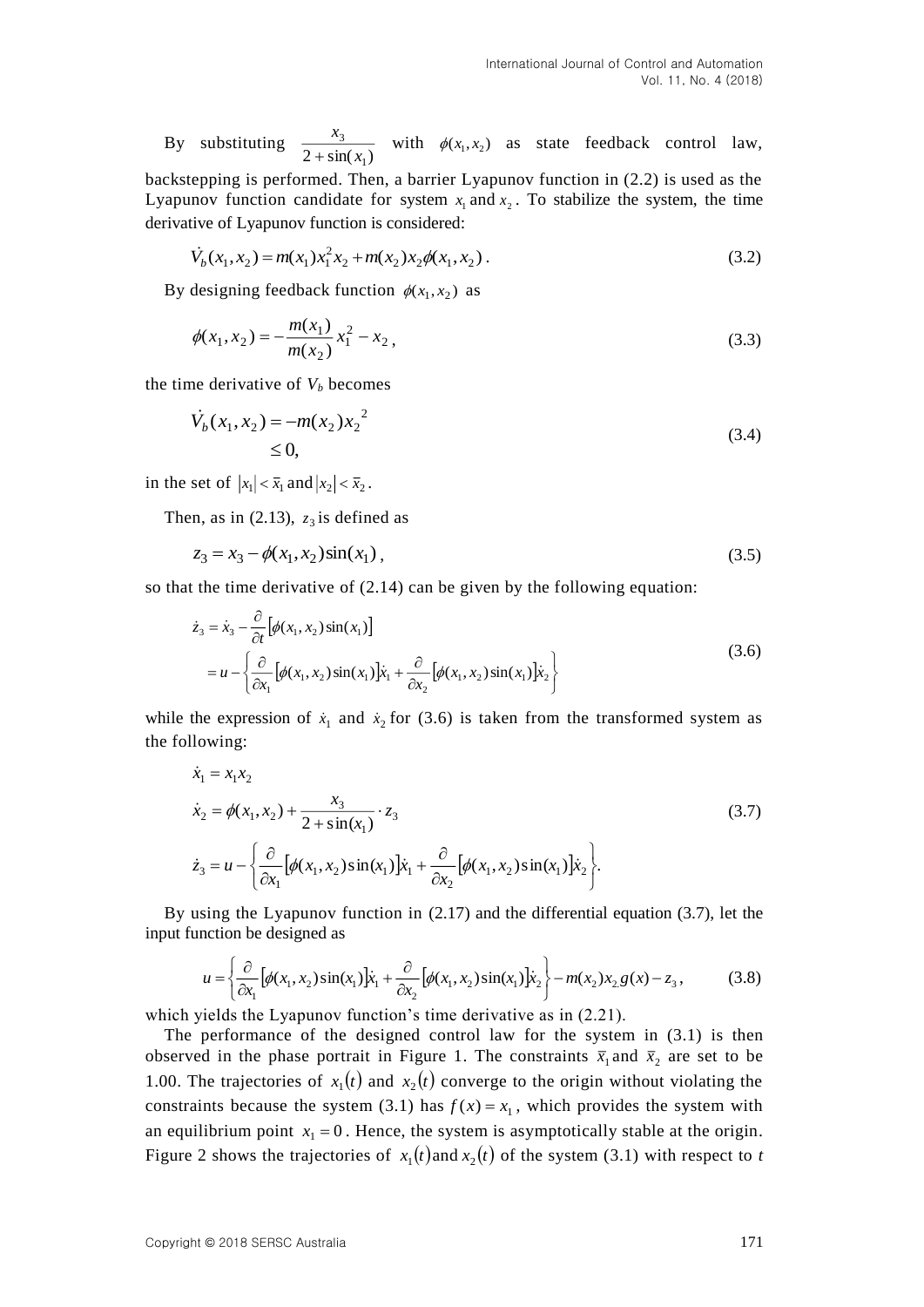By substituting  $2 + \sin(x_1)$ 3 *x x*  $\frac{x_3}{x_3+x_4}$  with  $\phi(x_1, x_2)$  as state feedback control law,

backstepping is performed. Then, a barrier Lyapunov function in (2.2) is used as the Lyapunov function candidate for system  $x_1$  and  $x_2$ . To stabilize the system, the time derivative of Lyapunov function is considered:

$$
\dot{V}_b(x_1, x_2) = m(x_1)x_1^2 x_2 + m(x_2)x_2 \phi(x_1, x_2).
$$
\n(3.2)

By designing feedback function  $\phi(x_1, x_2)$  as

$$
\phi(x_1, x_2) = -\frac{m(x_1)}{m(x_2)} x_1^2 - x_2, \tag{3.3}
$$

the time derivative of  $V_b$  becomes

$$
\dot{V}_b(x_1, x_2) = -m(x_2)x_2^2
$$
\n
$$
\leq 0,
$$
\n(3.4)

in the set of  $|x_1| < \overline{x}_1$  and  $|x_2| < \overline{x}_2$ .

Then, as in  $(2.13)$ ,  $z_3$  is defined as

$$
z_3 = x_3 - \phi(x_1, x_2) \sin(x_1), \tag{3.5}
$$

so that the time derivative of (2.14) can be given by the following equation:

$$
\dot{z}_3 = \dot{x}_3 - \frac{\partial}{\partial t} \left[ \phi(x_1, x_2) \sin(x_1) \right]
$$
  
=  $u - \left\{ \frac{\partial}{\partial x_1} \left[ \phi(x_1, x_2) \sin(x_1) \right] \dot{x}_1 + \frac{\partial}{\partial x_2} \left[ \phi(x_1, x_2) \sin(x_1) \right] \dot{x}_2 \right\}$  (3.6)

while the expression of  $\dot{x}_1$  and  $\dot{x}_2$  for (3.6) is taken from the transformed system as the following:

$$
\dot{x}_1 = x_1 x_2
$$
\n
$$
\dot{x}_2 = \phi(x_1, x_2) + \frac{x_3}{2 + \sin(x_1)} \cdot z_3
$$
\n
$$
\dot{z}_3 = u - \left\{ \frac{\partial}{\partial x_1} \left[ \phi(x_1, x_2) \sin(x_1) \right] \dot{x}_1 + \frac{\partial}{\partial x_2} \left[ \phi(x_1, x_2) \sin(x_1) \right] \dot{x}_2 \right\}.
$$
\n(3.7)

By using the Lyapunov function in (2.17) and the differential equation (3.7), let the input function be designed as

$$
u = \left\{ \frac{\partial}{\partial x_1} \left[ \phi(x_1, x_2) \sin(x_1) \right] \dot{x}_1 + \frac{\partial}{\partial x_2} \left[ \phi(x_1, x_2) \sin(x_1) \right] \dot{x}_2 \right\} - m(x_2) x_2 g(x) - z_3,
$$
 (3.8)

which vields the Lyapunov function's time derivative as in  $(2.21)$ .

The performance of the designed control law for the system in (3.1) is then observed in the phase portrait in Figure 1. The constraints  $\bar{x}_1$  and  $\bar{x}_2$  are set to be 1.00. The trajectories of  $x_1(t)$  and  $x_2(t)$  converge to the origin without violating the constraints because the system (3.1) has  $f(x) = x_1$ , which provides the system with an equilibrium point  $x_1 = 0$ . Hence, the system is asymptotically stable at the origin. Figure 2 shows the trajectories of  $x_1(t)$  and  $x_2(t)$  of the system (3.1) with respect to *t*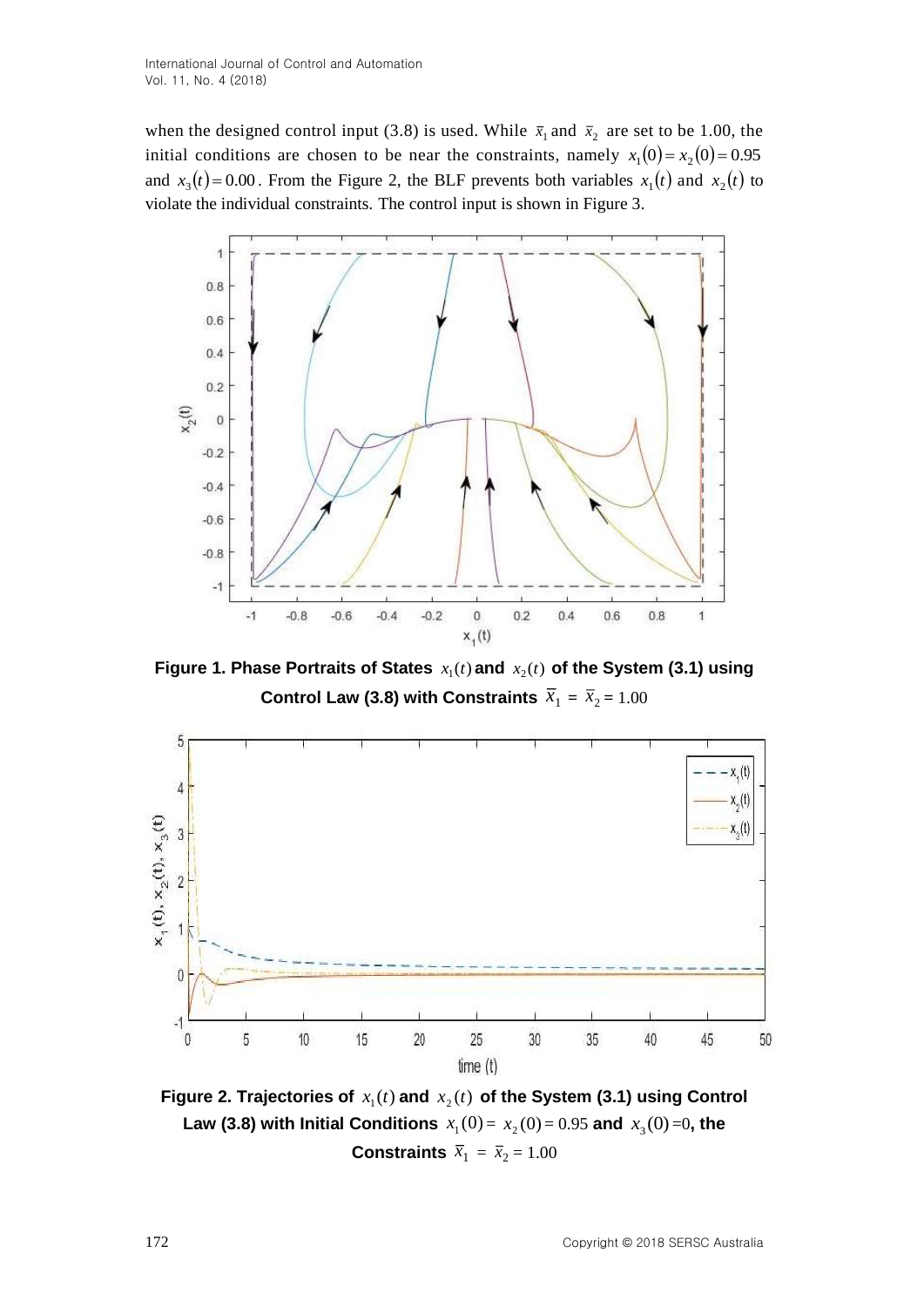when the designed control input (3.8) is used. While  $\bar{x}_1$  and  $\bar{x}_2$  are set to be 1.00, the initial conditions are chosen to be near the constraints, namely  $x_1(0) = x_2(0) = 0.95$ and  $x_3(t) = 0.00$ . From the Figure 2, the BLF prevents both variables  $x_1(t)$  and  $x_2(t)$  to violate the individual constraints. The control input is shown in Figure 3.



Figure 1. Phase Portraits of States  $x_1(t)$  and  $x_2(t)$  of the System (3.1) using Control Law (3.8) with Constraints  $\overline{x}_1 = \overline{x}_2 = 1.00$ 



Figure 2. Trajectories of  $x_1(t)$  and  $x_2(t)$  of the System (3.1) using Control **Law (3.8) with Initial Conditions**  $x_1(0) = x_2(0) = 0.95$  and  $x_3(0) = 0$ , the **Constraints**  $\overline{x}_1 = \overline{x}_2 = 1.00$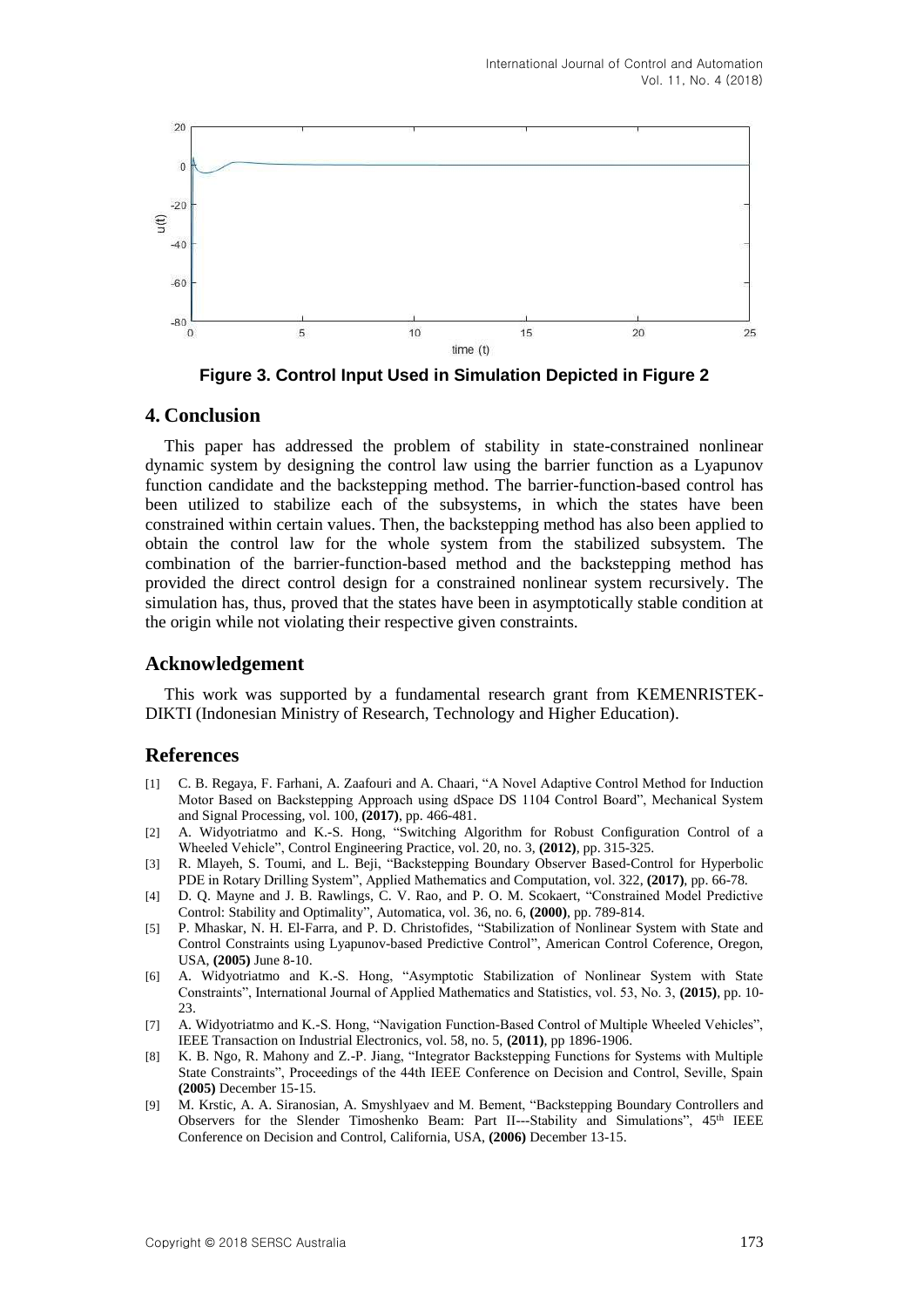

**Figure 3. Control Input Used in Simulation Depicted in Figure 2**

### **4. Conclusion**

This paper has addressed the problem of stability in state-constrained nonlinear dynamic system by designing the control law using the barrier function as a Lyapunov function candidate and the backstepping method. The barrier-function-based control has been utilized to stabilize each of the subsystems, in which the states have been constrained within certain values. Then, the backstepping method has also been applied to obtain the control law for the whole system from the stabilized subsystem. The combination of the barrier-function-based method and the backstepping method has provided the direct control design for a constrained nonlinear system recursively. The simulation has, thus, proved that the states have been in asymptotically stable condition at the origin while not violating their respective given constraints.

## **Acknowledgement**

This work was supported by a fundamental research grant from KEMENRISTEK-DIKTI (Indonesian Ministry of Research, Technology and Higher Education).

## **References**

- [1] C. B. Regaya, F. Farhani, A. Zaafouri and A. Chaari, "A Novel Adaptive Control Method for Induction Motor Based on Backstepping Approach using dSpace DS 1104 Control Board", Mechanical System and Signal Processing, vol. 100, **(2017)**, pp. 466-481.
- [2] A. Widyotriatmo and K.-S. Hong, "Switching Algorithm for Robust Configuration Control of a Wheeled Vehicle", Control Engineering Practice, vol. 20, no. 3, **(2012)**, pp. 315-325.
- [3] R. Mlayeh, S. Toumi, and L. Beji, "Backstepping Boundary Observer Based-Control for Hyperbolic PDE in Rotary Drilling System", Applied Mathematics and Computation, vol. 322, **(2017)**, pp. 66-78.
- [4] D. Q. Mayne and J. B. Rawlings, C. V. Rao, and P. O. M. Scokaert, "Constrained Model Predictive Control: Stability and Optimality", Automatica, vol. 36, no. 6, **(2000)**, pp. 789-814.
- [5] P. Mhaskar, N. H. El-Farra, and P. D. Christofides, "Stabilization of Nonlinear System with State and Control Constraints using Lyapunov-based Predictive Control", American Control Coference, Oregon, USA, **(2005)** June 8-10.
- [6] A. Widyotriatmo and K.-S. Hong, "Asymptotic Stabilization of Nonlinear System with State Constraints", International Journal of Applied Mathematics and Statistics, vol. 53, No. 3, **(2015)**, pp. 10- 23.
- [7] A. Widyotriatmo and K.-S. Hong, "Navigation Function-Based Control of Multiple Wheeled Vehicles", IEEE Transaction on Industrial Electronics, vol. 58, no. 5, **(2011)**, pp 1896-1906.
- [8] K. B. Ngo, R. Mahony and Z.-P. Jiang, "Integrator Backstepping Functions for Systems with Multiple State Constraints", Proceedings of the 44th IEEE Conference on Decision and Control, Seville, Spain **(2005)** December 15-15.
- [9] M. Krstic, A. A. Siranosian, A. Smyshlyaev and M. Bement, "Backstepping Boundary Controllers and Observers for the Slender Timoshenko Beam: Part II---Stability and Simulations", 45th IEEE Conference on Decision and Control, California, USA, **(2006)** December 13-15.